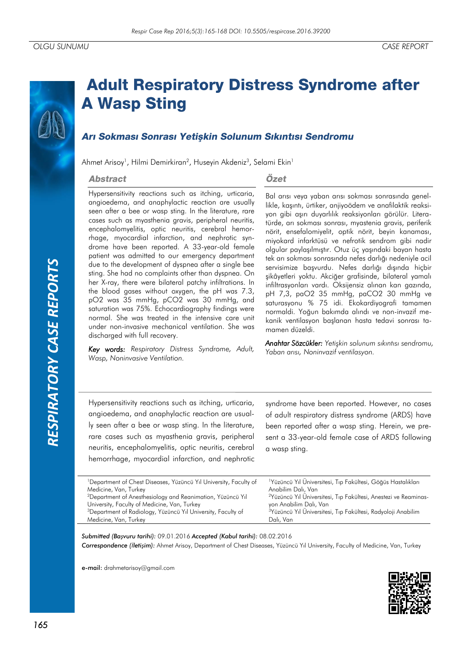# *RESPIRATORY CASE REPORTS*RESPIRATORY CASE REPORTS

# **Adult Respiratory Distress Syndrome after A Wasp Sting**

# Arı Sokması Sonrası Yetişkin Solunum Sıkıntısı Sendromu

Ahmet Arisoy<sup>1</sup>, Hilmi Demirkiran<sup>2</sup>, Huseyin Akdeniz<sup>3</sup>, Selami Ekin<sup>1</sup>

#### **Abstract**

# Özet

Hypersensitivity reactions such as itching, urticaria, angioedema, and anaphylactic reaction are usually seen after a bee or wasp sting. In the literature, rare cases such as myasthenia gravis, peripheral neuritis, encephalomyelitis, optic neuritis, cerebral hemorrhage, myocardial infarction, and nephrotic syndrome have been reported. A 33-year-old female patient was admitted to our emergency department due to the development of dyspnea after a single bee sting. She had no complaints other than dyspnea. On her X-ray, there were bilateral patchy infiltrations. In the blood gases without oxygen, the pH was 7.3, pO2 was 35 mmHg, pCO2 was 30 mmHg, and saturation was 75%. Echocardiography findings were normal. She was treated in the intensive care unit under non-invasive mechanical ventilation. She was discharged with full recovery.

*Key words: Respiratory Distress Syndrome, Adult, Wasp, Noninvasive Ventilation.*

Bal arısı veya yaban arısı sokması sonrasında genellikle, kaşıntı, ürtiker, anjiyoödem ve anafilaktik reaksiyon gibi aşırı duyarlılık reaksiyonları görülür. Literatürde, arı sokması sonrası, myastenia gravis, periferik nörit, ensefalomiyelit, optik nörit, beyin kanaması, miyokard infarktüsü ve nefrotik sendrom gibi nadir olgular paylaşılmıştır. Otuz üç yaşındaki bayan hasta tek arı sokması sonrasında nefes darlığı nedeniyle acil servisimize başvurdu. Nefes darlığı dışında hiçbir şikâyetleri yoktu. Akciğer grafisinde, bilateral yamalı infiltrasyonları vardı. Oksijensiz alınan kan gazında, pH 7,3, paO2 35 mmHg, paCO2 30 mmHg ve saturasyonu % 75 idi. Ekokardiyografi tamamen normaldi. Yoğun bakımda alındı ve non-invazif mekanik ventilasyon başlanan hasta tedavi sonrası tamamen düzeldi.

*Anahtar Sözcükler: Yetişkin solunum sıkıntısı sendromu, Yaban arısı, Noninvazif ventilasyon.*

Hypersensitivity reactions such as itching, urticaria, angioedema, and anaphylactic reaction are usually seen after a bee or wasp sting. In the literature, rare cases such as myasthenia gravis, peripheral neuritis, encephalomyelitis, optic neuritis, cerebral hemorrhage, myocardial infarction, and nephrotic

syndrome have been reported. However, no cases of adult respiratory distress syndrome (ARDS) have been reported after a wasp sting. Herein, we present a 33-year-old female case of ARDS following a wasp sting.

| <sup>1</sup> Department of Chest Diseases, Yüzüncü Yıl University, Faculty of | <sup>1</sup> Yüzüncü Yıl Üniversitesi, Tıp Fakültesi, Göğüs Hastalıkları    |
|-------------------------------------------------------------------------------|-----------------------------------------------------------------------------|
| Medicine, Van, Turkey                                                         | Anabilim Dalı, Van                                                          |
| <sup>2</sup> Department of Anesthesiology and Reanimation, Yüzüncü Yıl        | <sup>2</sup> Yüzüncü Yıl Üniversitesi, Tıp Fakültesi, Anestezi ve Reaminas- |
| University, Faculty of Medicine, Van, Turkey                                  | yon Anabilim Dalı, Van                                                      |
| <sup>3</sup> Department of Radiology, Yüzüncü Yıl University, Faculty of      | <sup>3</sup> Yüzüncü Yıl Üniversitesi, Tıp Fakültesi, Radyoloji Anabilim    |
| Medicine, Van, Turkey                                                         | Dalı, Van                                                                   |
|                                                                               |                                                                             |

*Submitted (Başvuru tarihi):* 09.01.2016 *Accepted (Kabul tarihi):* 08.02.2016 *Correspondence (İletişim):* Ahmet Arisoy, Department of Chest Diseases, Yüzüncü Yıl University, Faculty of Medicine, Van, Turkey

e-mail: drahmetarisoy@gmail.com

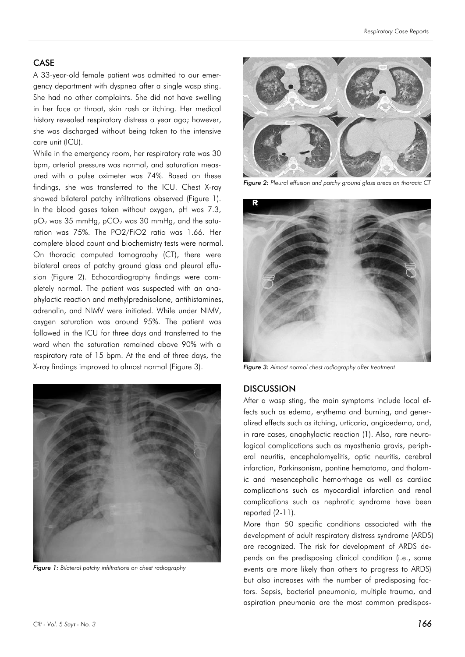#### CASE

A 33-year-old female patient was admitted to our emergency department with dyspnea after a single wasp sting. She had no other complaints. She did not have swelling in her face or throat, skin rash or itching. Her medical history revealed respiratory distress a year ago; however, she was discharged without being taken to the intensive care unit (ICU).

While in the emergency room, her respiratory rate was 30 bpm, arterial pressure was normal, and saturation measured with a pulse oximeter was 74%. Based on these findings, she was transferred to the ICU. Chest X-ray showed bilateral patchy infiltrations observed (Figure 1). In the blood gases taken without oxygen, pH was 7.3,  $pO<sub>2</sub>$  was 35 mmHg,  $pCO<sub>2</sub>$  was 30 mmHg, and the saturation was 75%. The PO2/FiO2 ratio was 1.66. Her complete blood count and biochemistry tests were normal. On thoracic computed tomography (CT), there were bilateral areas of patchy ground glass and pleural effusion (Figure 2). Echocardiography findings were completely normal. The patient was suspected with an anaphylactic reaction and methylprednisolone, antihistamines, adrenalin, and NIMV were initiated. While under NIMV, oxygen saturation was around 95%. The patient was followed in the ICU for three days and transferred to the ward when the saturation remained above 90% with a respiratory rate of 15 bpm. At the end of three days, the X-ray findings improved to almost normal (Figure 3).



*Figure 1: Bilateral patchy infiltrations on chest radiography*



*Figure 2: Pleural effusion and patchy ground glass areas on thoracic CT*



*Figure 3: Almost normal chest radiography after treatment*

#### **DISCUSSION**

After a wasp sting, the main symptoms include local effects such as edema, erythema and burning, and generalized effects such as itching, urticaria, angioedema, and, in rare cases, anaphylactic reaction (1). Also, rare neurological complications such as myasthenia gravis, peripheral neuritis, encephalomyelitis, optic neuritis, cerebral infarction, Parkinsonism, pontine hematoma, and thalamic and mesencephalic hemorrhage as well as cardiac complications such as myocardial infarction and renal complications such as nephrotic syndrome have been reported (2-11).

More than 50 specific conditions associated with the development of adult respiratory distress syndrome (ARDS) are recognized. The risk for development of ARDS depends on the predisposing clinical condition (i.e., some events are more likely than others to progress to ARDS) but also increases with the number of predisposing factors. Sepsis, bacterial pneumonia, multiple trauma, and aspiration pneumonia are the most common predispos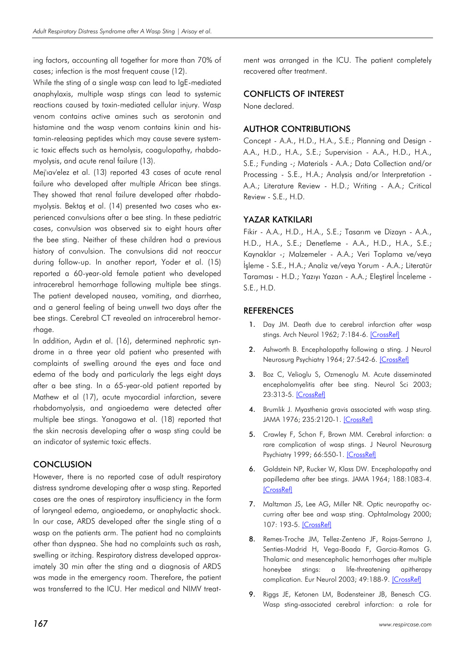ing factors, accounting all together for more than 70% of cases; infection is the most frequent cause (12).

While the sting of a single wasp can lead to IgE-mediated anaphylaxis, multiple wasp stings can lead to systemic reactions caused by toxin-mediated cellular injury. Wasp venom contains active amines such as serotonin and histamine and the wasp venom contains kinin and histamin-releasing peptides which may cause severe systemic toxic effects such as hemolysis, coagulopathy, rhabdomyolysis, and acute renal failure (13).

Mej'ıav'elez et al. (13) reported 43 cases of acute renal failure who developed after multiple African bee stings. They showed that renal failure developed after rhabdomyolysis. Bektaş et al. (14) presented two cases who experienced convulsions after a bee sting. In these pediatric cases, convulsion was observed six to eight hours after the bee sting. Neither of these children had a previous history of convulsion. The convulsions did not reoccur during follow-up. In another report, Yoder et al. (15) reported a 60-year-old female patient who developed intracerebral hemorrhage following multiple bee stings. The patient developed nausea, vomiting, and diarrhea, and a general feeling of being unwell two days after the bee stings. Cerebral CT revealed an intracerebral hemorrhage.

In addition, Aydın et al. (16), determined nephrotic syndrome in a three year old patient who presented with complaints of swelling around the eyes and face and edema of the body and particularly the legs eight days after a bee sting. In a 65-year-old patient reported by Mathew et al (17), acute myocardial infarction, severe rhabdomyolysis, and angioedema were detected after multiple bee stings. Yanagawa et al. (18) reported that the skin necrosis developing after a wasp sting could be an indicator of systemic toxic effects.

# **CONCLUSION**

However, there is no reported case of adult respiratory distress syndrome developing after a wasp sting. Reported cases are the ones of respiratory insufficiency in the form of laryngeal edema, angioedema, or anaphylactic shock. In our case, ARDS developed after the single sting of a wasp on the patients arm. The patient had no complaints other than dyspnea. She had no complaints such as rash, swelling or itching. Respiratory distress developed approximately 30 min after the sting and a diagnosis of ARDS was made in the emergency room. Therefore, the patient was transferred to the ICU. Her medical and NIMV treatment was arranged in the ICU. The patient completely recovered after treatment.

# CONFLICTS OF INTEREST

None declared.

# AUTHOR CONTRIBUTIONS

Concept - A.A., H.D., H.A., S.E.; Planning and Design - A.A., H.D., H.A., S.E.; Supervision - A.A., H.D., H.A., S.E.; Funding -; Materials - A.A.; Data Collection and/or Processing - S.E., H.A.; Analysis and/or Interpretation - A.A.; Literature Review - H.D.; Writing - A.A.; Critical Review - S.E., H.D.

# YAZAR KATKILARI

Fikir - A.A., H.D., H.A., S.E.; Tasarım ve Dizayn - A.A., H.D., H.A., S.E.; Denetleme - A.A., H.D., H.A., S.E.; Kaynaklar -; Malzemeler - A.A.; Veri Toplama ve/veya İşleme - S.E., H.A.; Analiz ve/veya Yorum - A.A.; Literatür Taraması - H.D.; Yazıyı Yazan - A.A.; Eleştirel İnceleme - S.E., H.D.

# **REFERENCES**

- 1. Day JM. Death due to cerebral infarction after wasp stings. Arch Neurol 1962; 7:184-6. [\[CrossRef\]](http://dx.doi.org/10.1001/archneur.1962.04210030022003)
- 2. Ashworth B. Encephalopathy following a sting. J Neurol Neurosurg Psychiatry 1964; 27:542-6. [\[CrossRef\]](http://dx.doi.org/10.1136/jnnp.27.6.542)
- 3. Boz C, Velioglu S, Ozmenoglu M. Acute disseminated encephalomyelitis after bee sting. Neurol Sci 2003; 23:313-5. [\[CrossRef\]](http://dx.doi.org/10.1007/s100720300007)
- 4. Brumlik J. Myasthenia gravis associated with wasp sting. JAMA 1976; 235:2120-1. [\[CrossRef\]](http://dx.doi.org/10.1001/jama.235.19.2120)
- 5. Crawley F, Schon F, Brown MM. Cerebral infarction: a rare complication of wasp stings. J Neurol Neurosurg Psychiatry 1999; 66:550-1. [\[CrossRef\]](http://dx.doi.org/10.1136/jnnp.66.4.550)
- 6. Goldstein NP, Rucker W, Klass DW. Encephalopathy and papilledema after bee stings. JAMA 1964; 188:1083-4. [\[CrossRef\]](http://dx.doi.org/10.1001/jama.1964.03060380051017)
- 7. Maltzman JS, Lee AG, Miller NR. Optic neuropathy occurring after bee and wasp sting. Ophtalmology 2000; 107: 193-5. [\[CrossRef\]](http://dx.doi.org/10.1016/S0161-6420(99)00020-2)
- 8. Remes-Troche JM, Tellez-Zenteno JF, Rojas-Serrano J, Senties-Madrid H, Vega-Boada F, Garcia-Ramos G. Thalamic and mesencephalic hemorrhages after multiple honeybee stings: a life-threatening apitherapy complication. Eur Neurol 2003; 49:188-9. [\[CrossRef\]](http://dx.doi.org/10.1159/000069081)
- 9. Riggs JE, Ketonen LM, Bodensteiner JB, Benesch CG. Wasp sting-associated cerebral infarction: a role for